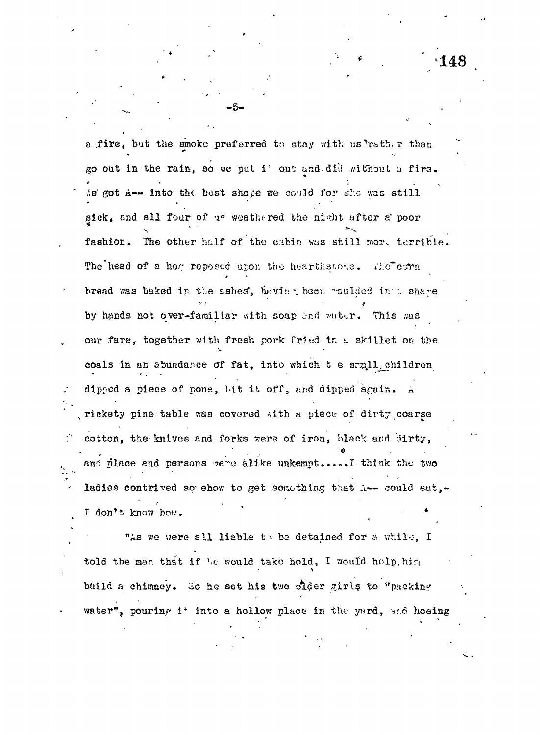a fire, but the smoke preferred to stay with us rather than go out in the rain, so we put i' out and did without a fire. ie got A-- into the best shape we could for she was still sick, and all four of us weathered the night after a poor fashion. The other half of the cabin was still more terrible. The head of a how reposed upon the hearthstone. dic<sup>r</sup>emm bread was baked in the sshes, heving been moulded into shape by hands not over-familiar with soap and water. This was our fare, together with fresh pork fried in a skillet on the coals in an abundance of fat, into which t e small children dipped a piece of pone, bit it off, and dipped again. A rickety pine table was covered with a piece of dirty coarse cotton, the knives and forks were of iron, black and dirty, and place and persons were alike unkempt.....I think the two ladies contrived so ehow to get something that i-- could eat,-I don't know how.

"As we were all liable to be detained for a while, I told the man that if he would take hold, I would help him build a chimney. So he set his two older girls to "packing water", pouring i\* into a hollow place in the yard, and hoeing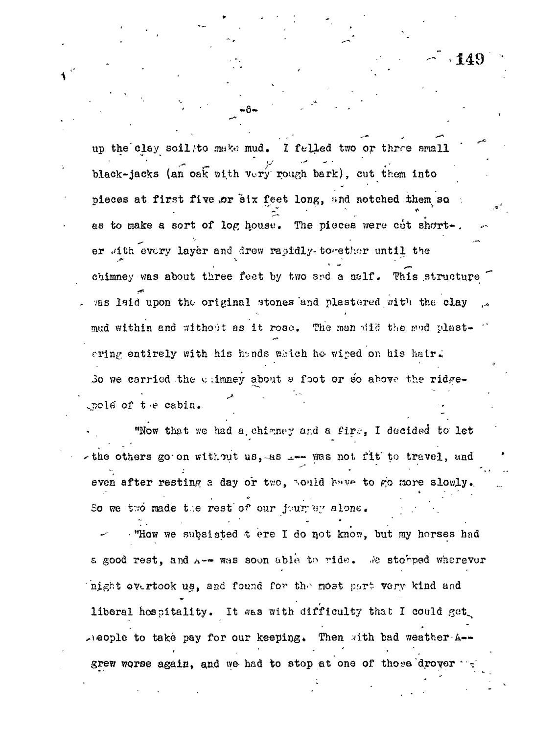$\cdot 149$ 

up the clay soil/to make mud. I felled two or three small black-jacks (an oak with very rough bark), cut them into pieces at first five or six feet long, and notched them so as to make a sort of log house. The pieces were cut short-. er with every layer and drew rapidly-to-ether until the chimney was about three feet by two and a nelf. This structure was laid upon the original stones and plastered with the clay mud within and without as it rose. The man did the sud plastering entirely with his hands which he wiped on his hair. So we carried the climney about a foot or so above the ridgepole of the cabin.

"Now that we had a chimney and a fire, I decided to let the others go on without us, as .... was not fit to travel, and even after resting a day or two. Sould have to go more slowly. So we two made the rest of our jour ey alone.

"How we subsisted t ere I do not know, but my horses had a good rest, and A-- was soon able to ride. We storped wherever night evertook us, and found for the most part very kind and liberal hospitality. It was with difficulty that I could get meople to take pay for our keeping. Then with bad weather A-grew worse again, and we had to stop at one of those drover ...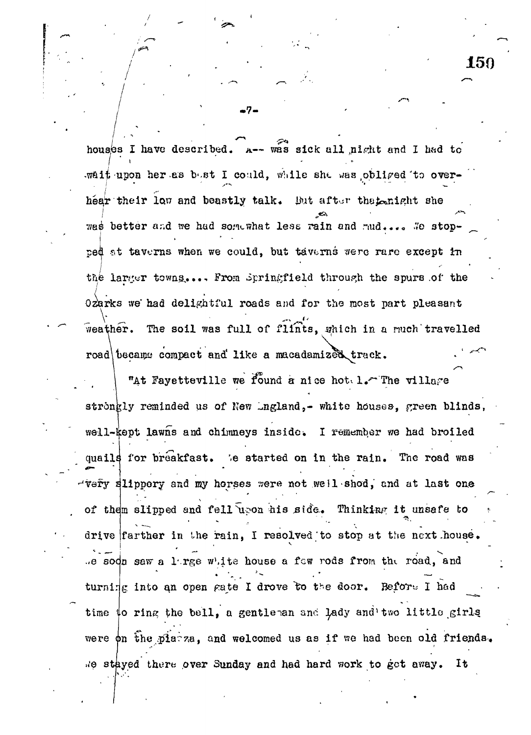$\mathcal{L} = \{ \mathcal{L} \mid \mathcal{L} \in \mathcal{L} \}$  .  $\mathcal{L} = \{ \mathcal{L} \mid \mathcal{L} \in \mathcal{L} \}$  , where  $\mathcal{L} = \{ \mathcal{L} \mid \mathcal{L} \in \mathcal{L} \}$  $\frac{1}{1}$ wait upon her as bost I could, while she was obliged to overhear their low and beastly talk. But after the tenight she vas better and we had somewhat less rain and mud.... We stopped at taverns when we could, but taverns were rare except in the larger towns.... From Springfield through the spurs of the  $Qz$ arks we had delightful roads and for the most part pleasant weather. The soil was full of flints, which in a much travelled road\ became compact and like a macadamized track.

150

"At Fayetteville we found a nice hot  $l$ . The village stronkly reminded us of New Lngland,- white houses, green blinds, well-kept lawns and chimneys inside. I remember we had broiled quails for breakfast. We started on in the rain. The road was -'very slippery and *my* horses ??ere not well shod, and at last one of them slipped and fell upon his side. Thinking it unsafe to drive farther in the rain, I resolved to stop at the next house. *.e* sodn saw a lirge white house a few rods from the road, and turning into an open gate I drove to the door. Before I had time  $\phi$  ring the bell, a gentleman and lady and two little girls were  $\phi$ n the piatza, and welcomed us as if we had been old friends. .«'e stayed thure over Sunday and had hard work to get av/ay. It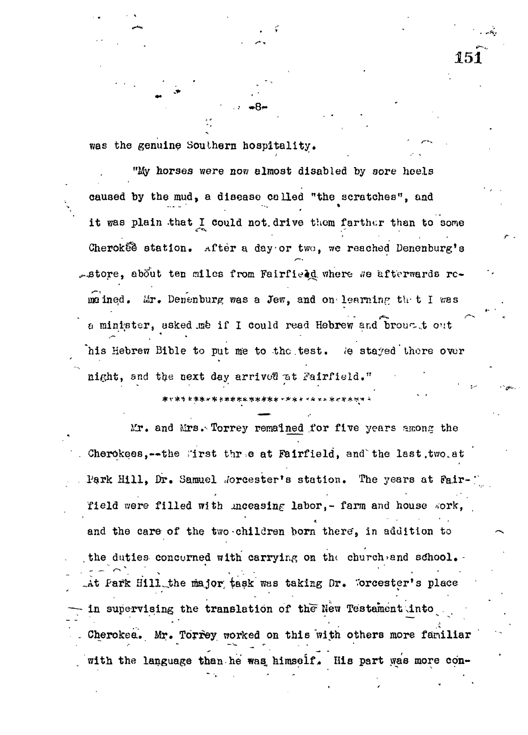was the genuine Southern hospitality.

"My horses were now almost disabled by sore heels caused by the mud, a disease called "the scratches", and it was plain that I could not drive them farther than to some Cherok $\mathcal{E}$  station. After a day or two, we reached Denenburg's  $\sim$ store, about ten miles from Fairfiedd where We afterwards remained. Mr. Denenburg was a Jew, and on learning the I was a minister, asked me if I could read Hebrew and brougt out his Hebrew Bible to put me to the test. We stayed there over his Hebrew Bible to put me to the to the to the to the to the to the to the to the to the to the to the to the night, and the next day arrived at Fairfield."

151

night, and the next day arrivot! -at iTairfield."

Mr. and Mrs. Torrey remained for five years among the Cherokees,--the first three at Fairfield, and the last, two.at Park Hill, Dr. Samuel Jorcester's station. The years at Fair field were filled with unceasing labor,- farm and house work, and the care of the two-children born there, in addition to the duties concerned with carrying on the church and school. At Park Hill the major task was taking Dr. Worcester's place in supervising the translation of the New Testament into Cherokea. Mr. Torrey worked on this with others more familiar with the language than he was himself. His part was more con-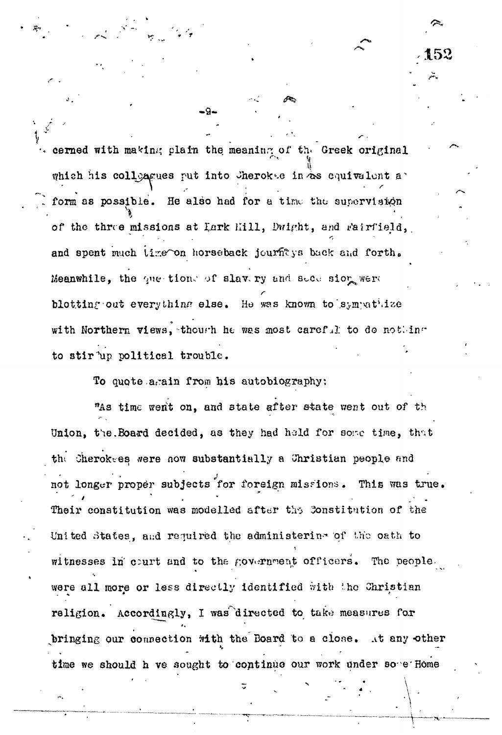cerned with making plain the meaning of the Greek original which his colloacues put into Jherokes in  $*$ s equivalent aform as possible. He also had for a time the supervision *\* of the three missions at Lark Hill, Dwight, and Fairfield, and spent much lime on horseback jourfitys back and forth. Meanwhile, the que-tion. of slav. ry and seconsion were blotting out everything else. He was known to sympatitze with Northern views, thourh he was most careful to do nothing to stir 'up political trouble.

152

To quote arain from his autobiography:

**- 9 -**

"As time went on, and state after state went out of th Union, the Board decided, as they had hold for some time, that the Cheroktes were now substantially a Christian people and not longer proper subjects for foreign missions. This was true . Their constitution was modelled after the Constitution of the United states, and required the administering of *U\o* oath to witnesses in court and to the government officers. The peoplewere all more or less directly identified with the Christian religion. Accordingly, I was directed to take measures for bringing our connection with the Board to a close. At any other time we should h ve sought to continue our work under some Home